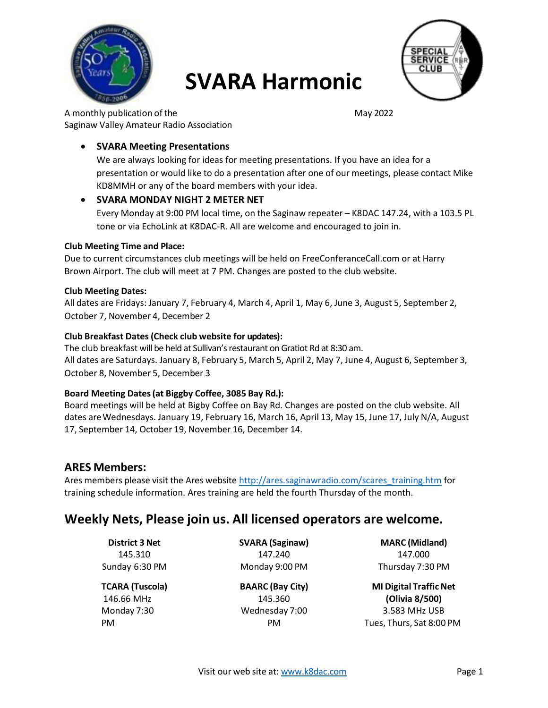

# **SVARA Harmonic**



A monthly publication of the May 2022 Saginaw Valley Amateur Radio Association

# **SVARA Meeting Presentations**

We are always looking for ideas for meeting presentations. If you have an idea for a presentation or would like to do a presentation after one of our meetings, please contact Mike KD8MMH or any of the board members with your idea.

# **SVARA MONDAY NIGHT 2 METER NET**

Every Monday at 9:00 PM local time, on the Saginaw repeater – K8DAC 147.24, with a 103.5 PL tone or via EchoLink at K8DAC-R. All are welcome and encouraged to join in.

# **Club Meeting Time and Place:**

Due to current circumstances club meetings will be held on FreeConferanceCall.com or at Harry Brown Airport. The club will meet at 7 PM. Changes are posted to the club website.

#### **Club Meeting Dates:**

All dates are Fridays: January 7, February 4, March 4, April 1, May 6, June 3, August 5, September 2, October 7, November 4, December 2

# **Club Breakfast Dates(Check club website for updates):**

The club breakfast will be held at Sullivan's restaurant on Gratiot Rd at 8:30 am. All dates are Saturdays. January 8, February 5, March 5, April 2, May 7, June 4, August 6, September 3, October 8, November 5, December 3

# **Board Meeting Dates(at Biggby Coffee, 3085 Bay Rd.):**

Board meetings will be held at Bigby Coffee on Bay Rd. Changes are posted on the club website. All dates areWednesdays. January 19, February 16, March 16, April 13, May 15, June 17, July N/A, August 17, September 14, October 19, November 16, December 14.

# **ARES Members:**

Ares members please visit the Ares website [http://ares.saginawradio.com/scares\\_training.htm](http://ares.saginawradio.com/scares_training.htm) for training schedule information. Ares training are held the fourth Thursday of the month.

# **Weekly Nets, Please join us. All licensed operators are welcome.**

**District 3 Net** 145.310 Sunday 6:30 PM

**TCARA (Tuscola)** 146.66 MHz Monday 7:30 PM

**SVARA (Saginaw)** 147.240 Monday 9:00 PM

**BAARC (Bay City)** 145.360 Wednesday 7:00 PM

**MARC (Midland)** 147.000 Thursday 7:30 PM

**MI** Digital Traffic Net **(Olivia 8/500)** 3.583 MHz USB Tues, Thurs, Sat 8:00 PM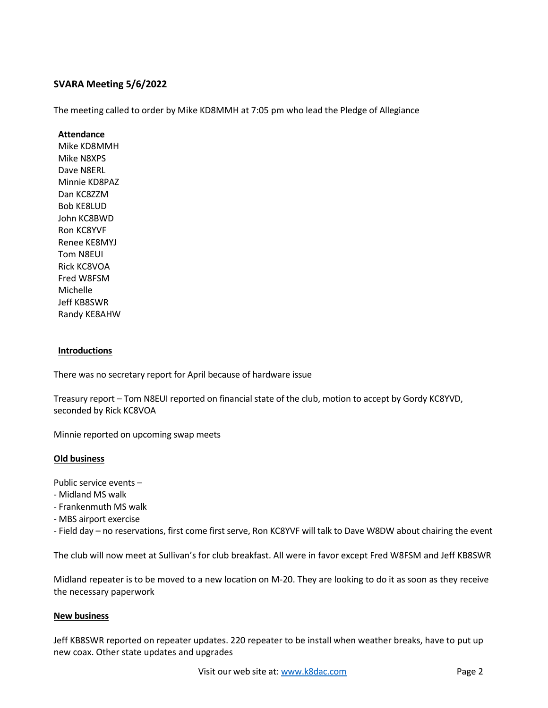# **SVARA Meeting 5/6/2022**

The meeting called to order by Mike KD8MMH at 7:05 pm who lead the Pledge of Allegiance

#### **Attendance**

Mike KD8MMH Mike N8XPS Dave N8ERL Minnie KD8PAZ Dan KC8ZZM Bob KE8LUD John KC8BWD Ron KC8YVF Renee KE8MYJ Tom N8EUI Rick KC8VOA Fred W8FSM Michelle Jeff KB8SWR Randy KE8AHW

#### **Introductions**

There was no secretary report for April because of hardware issue

Treasury report – Tom N8EUI reported on financial state of the club, motion to accept by Gordy KC8YVD, seconded by Rick KC8VOA

Minnie reported on upcoming swap meets

# **Old business**

Public service events –

- Midland MS walk
- Frankenmuth MS walk
- MBS airport exercise
- Field day no reservations, first come first serve, Ron KC8YVF will talk to Dave W8DW about chairing the event

The club will now meet at Sullivan's for club breakfast. All were in favor except Fred W8FSM and Jeff KB8SWR

Midland repeater is to be moved to a new location on M-20. They are looking to do it as soon as they receive the necessary paperwork

#### **New business**

Jeff KB8SWR reported on repeater updates. 220 repeater to be install when weather breaks, have to put up new coax. Other state updates and upgrades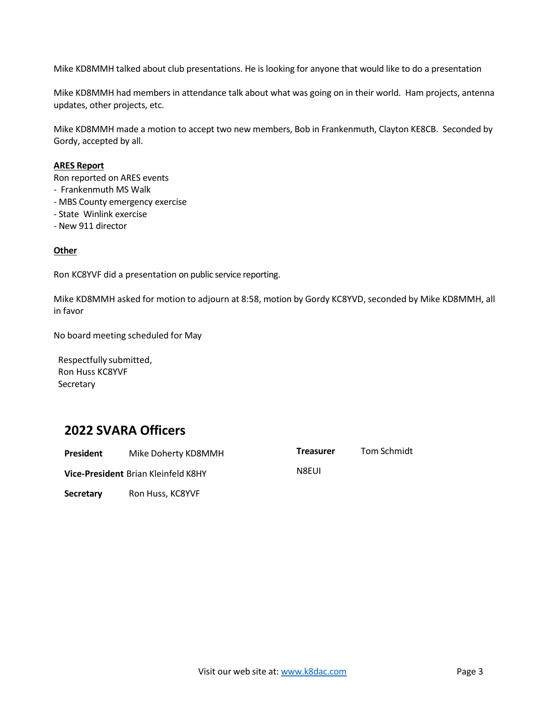Mike KD8MMH talked about club presentations. He is looking for anyone that would like to do a presentation

Mike KD8MMH had members in attendance talk about what was going on in their world. Ham projects, antenna updates, other projects, etc.

Mike KD8MMH made a motion to accept two new members, Bob in Frankenmuth, Clayton KE8CB. Seconded by Gordy, accepted by all.

#### **ARES Report**

Ron reported on ARES events

- Frankenmuth MS Walk
- MBS County emergency exercise
- State Winlink exercise
- New 911 director

# **Other**

Ron KC8YVF did a presentation on public service reporting.

Mike KD8MMH asked for motion to adjourn at 8:58, motion by Gordy KC8YVD, seconded by Mike KD8MMH, all in favor

No board meeting scheduled for May

Respectfully submitted, Ron Huss KC8YVF **Secretary** 

# **2022 SVARA Officers**

| President | Mike Doherty KD8MMH                        | <b>Treasurer</b> | Tom Schmidt |
|-----------|--------------------------------------------|------------------|-------------|
|           | <b>Vice-President Brian Kleinfeld K8HY</b> | <b>N</b> 8EUL    |             |
| Secretary | Ron Huss, KC8YVF                           |                  |             |